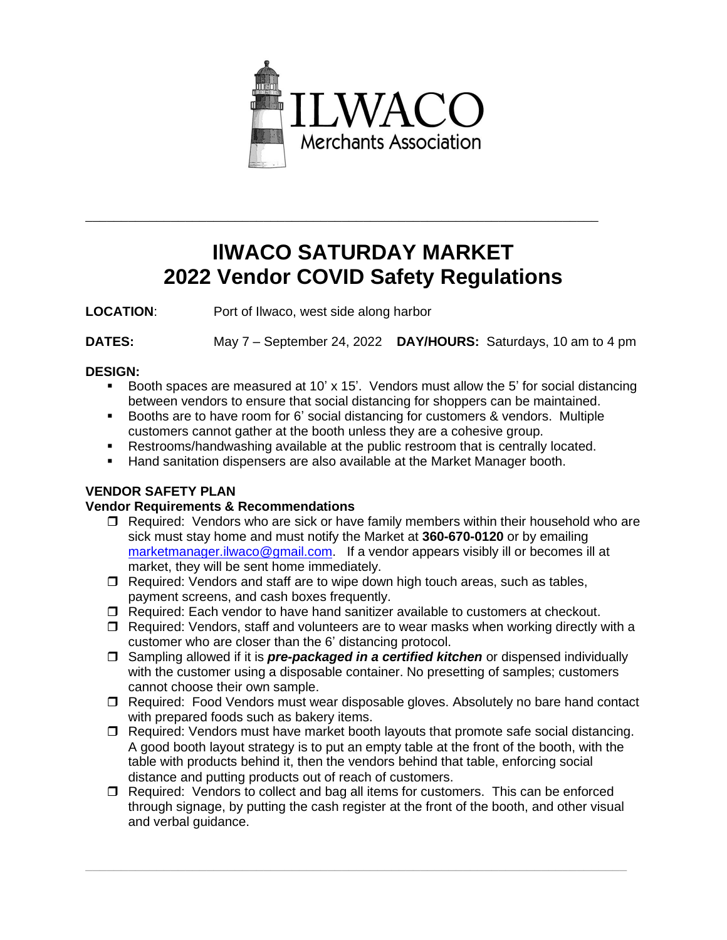

# **IlWACO SATURDAY MARKET 2022 Vendor COVID Safety Regulations**

\_\_\_\_\_\_\_\_\_\_\_\_\_\_\_\_\_\_\_\_\_\_\_\_\_\_\_\_\_\_\_\_\_\_\_\_\_\_\_\_\_\_\_\_\_\_\_\_\_\_\_\_\_\_\_\_\_\_\_\_\_\_\_\_\_\_\_\_\_\_\_\_

**LOCATION**: Port of Ilwaco, west side along harbor

**DATES:** May 7 – September 24, 2022 **DAY/HOURS:** Saturdays, 10 am to 4 pm

#### **DESIGN:**

- Booth spaces are measured at 10'  $\times$  15'. Vendors must allow the 5' for social distancing between vendors to ensure that social distancing for shoppers can be maintained.
- Booths are to have room for 6' social distancing for customers & vendors. Multiple customers cannot gather at the booth unless they are a cohesive group.
- **EXECT** Restrooms/handwashing available at the public restroom that is centrally located.
- **E** Hand sanitation dispensers are also available at the Market Manager booth.

## **VENDOR SAFETY PLAN**

## **Vendor Requirements & Recommendations**

- $\Box$  Required: Vendors who are sick or have family members within their household who are sick must stay home and must notify the Market at **360-670-0120** or by emailing [marketmanager.ilwaco@gmail.com.](mailto:marketmanager.ilwaco@gmail.com) If a vendor appears visibly ill or becomes ill at market, they will be sent home immediately.
- $\Box$  Required: Vendors and staff are to wipe down high touch areas, such as tables, payment screens, and cash boxes frequently.
- $\Box$  Required: Each vendor to have hand sanitizer available to customers at checkout.
- $\Box$  Required: Vendors, staff and volunteers are to wear masks when working directly with a customer who are closer than the 6' distancing protocol.
- Sampling allowed if it is *pre-packaged in a certified kitchen* or dispensed individually with the customer using a disposable container. No presetting of samples; customers cannot choose their own sample.
- Required: Food Vendors must wear disposable gloves. Absolutely no bare hand contact with prepared foods such as bakery items.
- $\Box$  Required: Vendors must have market booth layouts that promote safe social distancing. A good booth layout strategy is to put an empty table at the front of the booth, with the table with products behind it, then the vendors behind that table, enforcing social distance and putting products out of reach of customers.
- $\Box$  Required: Vendors to collect and bag all items for customers. This can be enforced through signage, by putting the cash register at the front of the booth, and other visual and verbal guidance.

\_\_\_\_\_\_\_\_\_\_\_\_\_\_\_\_\_\_\_\_\_\_\_\_\_\_\_\_\_\_\_\_\_\_\_\_\_\_\_\_\_\_\_\_\_\_\_\_\_\_\_\_\_\_\_\_\_\_\_\_\_\_\_\_\_\_\_\_\_\_\_\_\_\_\_\_